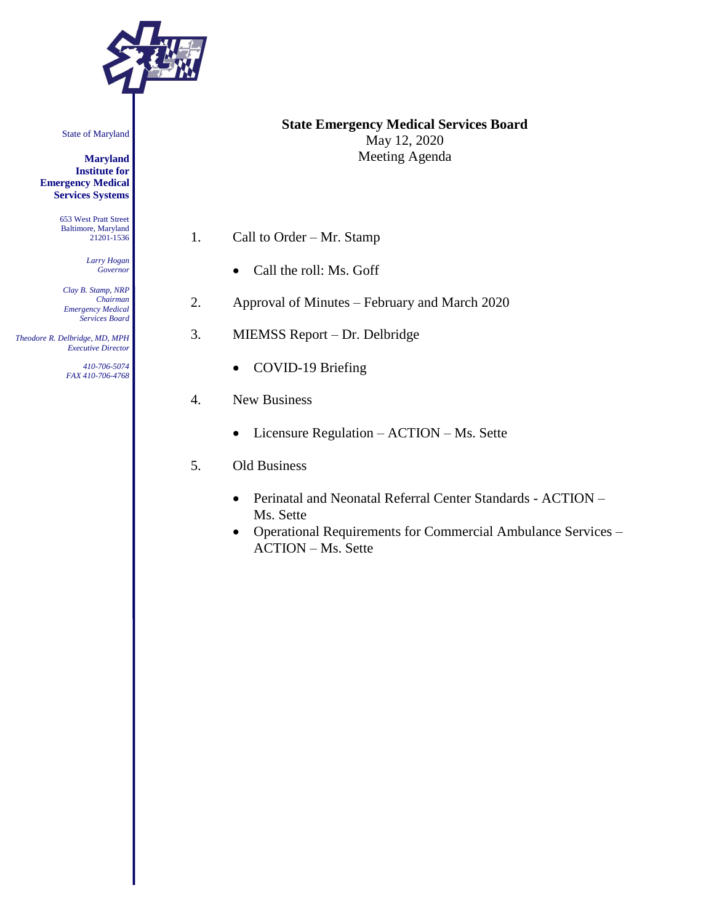

State of Maryland

**Maryland Institute for Emergency Medical Services Systems**

> 653 West Pratt Street Baltimore, Maryland 21201-1536

> > *Larry Hogan Governor*

*Clay B. Stamp, NRP Chairman Emergency Medical Services Board*

 *Theodore R. Delbridge, MD, MPH Executive Director*

> *410-706-5074 FAX 410-706-4768*

#### **State Emergency Medical Services Board** May 12, 2020 Meeting Agenda

- 1. Call to Order Mr. Stamp
	- Call the roll: Ms. Goff
- 2. Approval of Minutes February and March 2020
- 3. MIEMSS Report Dr. Delbridge
	- COVID-19 Briefing
- 4. New Business
	- Licensure Regulation ACTION Ms. Sette
- 5. Old Business
	- Perinatal and Neonatal Referral Center Standards ACTION Ms. Sette
	- Operational Requirements for Commercial Ambulance Services ACTION – Ms. Sette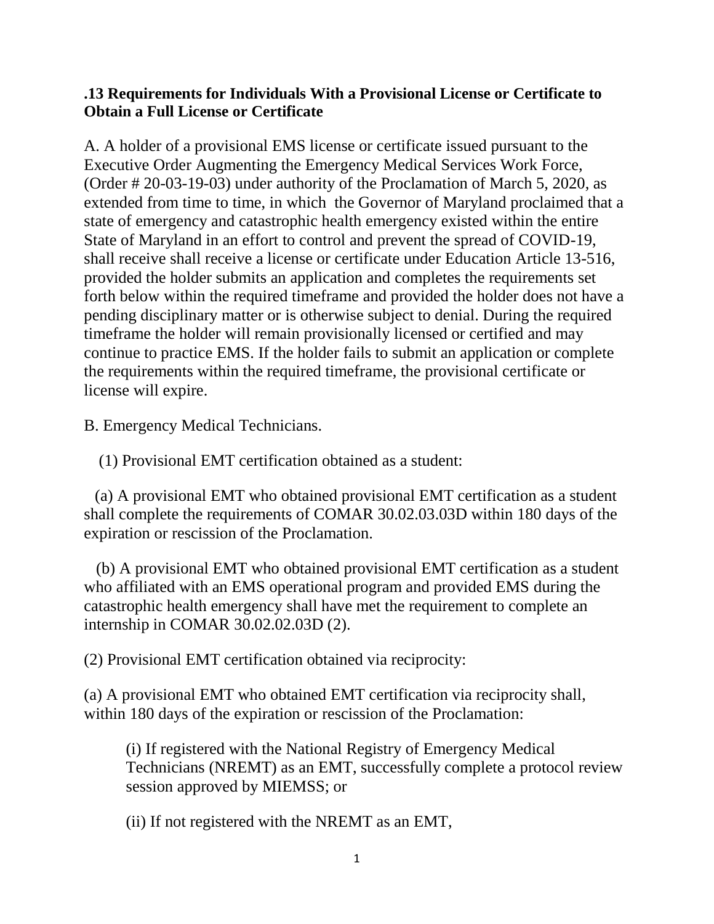# **.13 Requirements for Individuals With a Provisional License or Certificate to Obtain a Full License or Certificate**

A. A holder of a provisional EMS license or certificate issued pursuant to the Executive Order Augmenting the Emergency Medical Services Work Force, (Order # 20-03-19-03) under authority of the Proclamation of March 5, 2020, as extended from time to time, in which the Governor of Maryland proclaimed that a state of emergency and catastrophic health emergency existed within the entire State of Maryland in an effort to control and prevent the spread of COVID-19, shall receive shall receive a license or certificate under Education Article 13-516, provided the holder submits an application and completes the requirements set forth below within the required timeframe and provided the holder does not have a pending disciplinary matter or is otherwise subject to denial. During the required timeframe the holder will remain provisionally licensed or certified and may continue to practice EMS. If the holder fails to submit an application or complete the requirements within the required timeframe, the provisional certificate or license will expire.

B. Emergency Medical Technicians.

(1) Provisional EMT certification obtained as a student:

(a) A provisional EMT who obtained provisional EMT certification as a student shall complete the requirements of COMAR 30.02.03.03D within 180 days of the expiration or rescission of the Proclamation.

 (b) A provisional EMT who obtained provisional EMT certification as a student who affiliated with an EMS operational program and provided EMS during the catastrophic health emergency shall have met the requirement to complete an internship in COMAR 30.02.02.03D (2).

(2) Provisional EMT certification obtained via reciprocity:

(a) A provisional EMT who obtained EMT certification via reciprocity shall, within 180 days of the expiration or rescission of the Proclamation:

(i) If registered with the National Registry of Emergency Medical Technicians (NREMT) as an EMT, successfully complete a protocol review session approved by MIEMSS; or

(ii) If not registered with the NREMT as an EMT,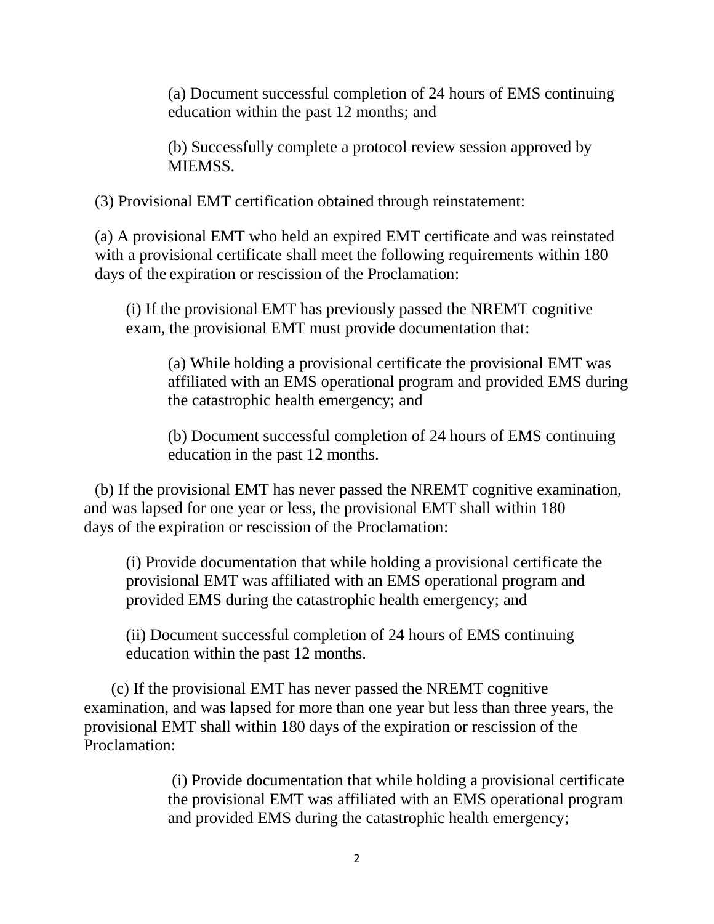(a) Document successful completion of 24 hours of EMS continuing education within the past 12 months; and

(b) Successfully complete a protocol review session approved by MIEMSS.

(3) Provisional EMT certification obtained through reinstatement:

(a) A provisional EMT who held an expired EMT certificate and was reinstated with a provisional certificate shall meet the following requirements within 180 days of the expiration or rescission of the Proclamation:

(i) If the provisional EMT has previously passed the NREMT cognitive exam, the provisional EMT must provide documentation that:

(a) While holding a provisional certificate the provisional EMT was affiliated with an EMS operational program and provided EMS during the catastrophic health emergency; and

(b) Document successful completion of 24 hours of EMS continuing education in the past 12 months.

(b) If the provisional EMT has never passed the NREMT cognitive examination, and was lapsed for one year or less, the provisional EMT shall within 180 days of the expiration or rescission of the Proclamation:

(i) Provide documentation that while holding a provisional certificate the provisional EMT was affiliated with an EMS operational program and provided EMS during the catastrophic health emergency; and

(ii) Document successful completion of 24 hours of EMS continuing education within the past 12 months.

 (c) If the provisional EMT has never passed the NREMT cognitive examination, and was lapsed for more than one year but less than three years, the provisional EMT shall within 180 days of the expiration or rescission of the Proclamation:

> (i) Provide documentation that while holding a provisional certificate the provisional EMT was affiliated with an EMS operational program and provided EMS during the catastrophic health emergency;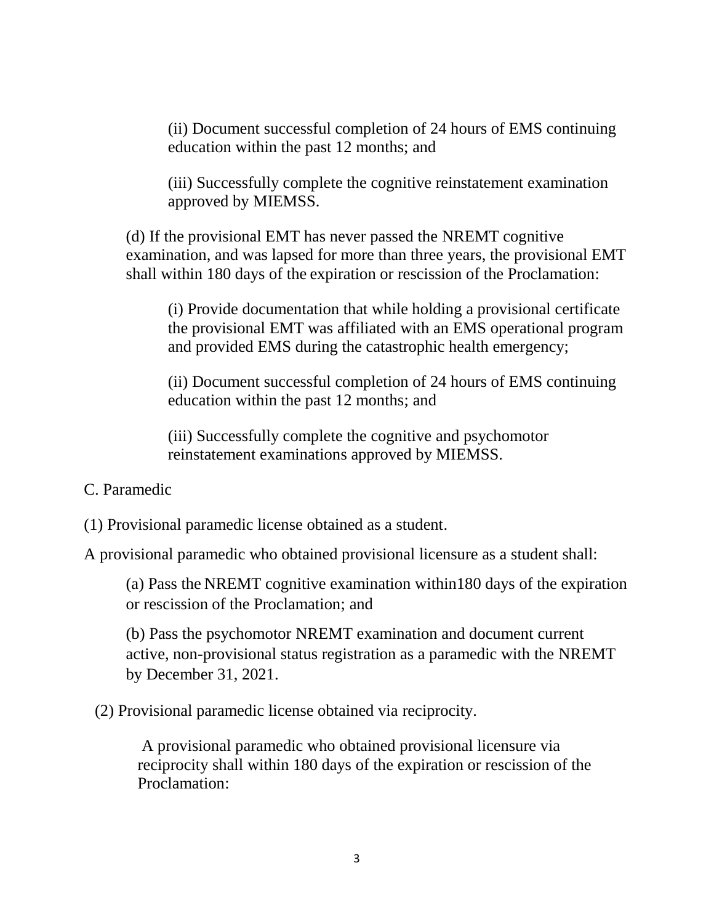(ii) Document successful completion of 24 hours of EMS continuing education within the past 12 months; and

(iii) Successfully complete the cognitive reinstatement examination approved by MIEMSS.

(d) If the provisional EMT has never passed the NREMT cognitive examination, and was lapsed for more than three years, the provisional EMT shall within 180 days of the expiration or rescission of the Proclamation:

(i) Provide documentation that while holding a provisional certificate the provisional EMT was affiliated with an EMS operational program and provided EMS during the catastrophic health emergency;

(ii) Document successful completion of 24 hours of EMS continuing education within the past 12 months; and

(iii) Successfully complete the cognitive and psychomotor reinstatement examinations approved by MIEMSS.

C. Paramedic

(1) Provisional paramedic license obtained as a student.

A provisional paramedic who obtained provisional licensure as a student shall:

(a) Pass the NREMT cognitive examination within180 days of the expiration or rescission of the Proclamation; and

(b) Pass the psychomotor NREMT examination and document current active, non-provisional status registration as a paramedic with the NREMT by December 31, 2021.

(2) Provisional paramedic license obtained via reciprocity.

A provisional paramedic who obtained provisional licensure via reciprocity shall within 180 days of the expiration or rescission of the Proclamation: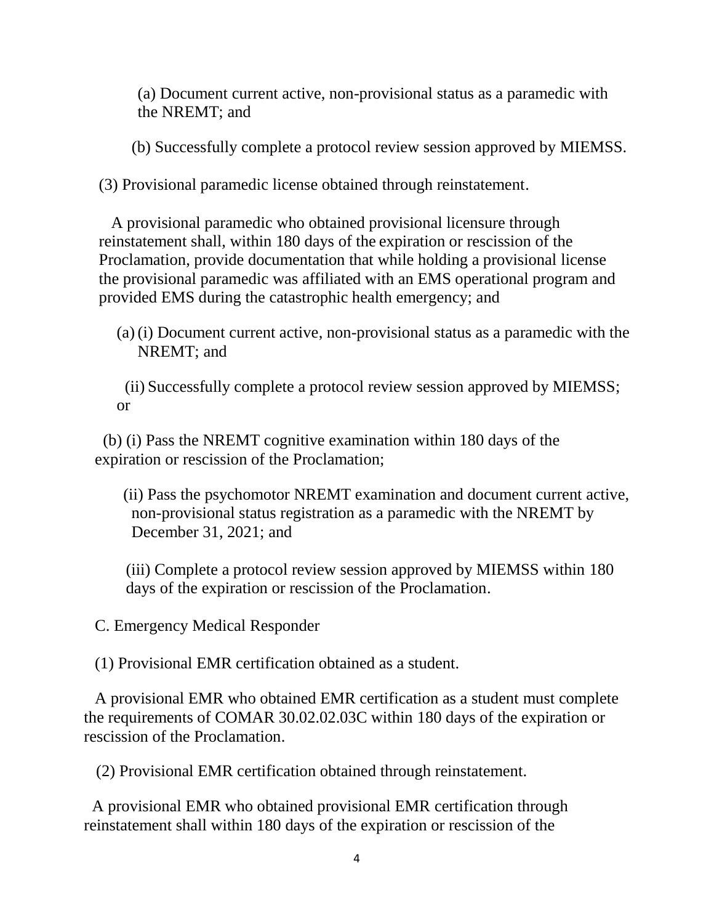(a) Document current active, non-provisional status as a paramedic with the NREMT; and

(b) Successfully complete a protocol review session approved by MIEMSS.

(3) Provisional paramedic license obtained through reinstatement.

 A provisional paramedic who obtained provisional licensure through reinstatement shall, within 180 days of the expiration or rescission of the Proclamation, provide documentation that while holding a provisional license the provisional paramedic was affiliated with an EMS operational program and provided EMS during the catastrophic health emergency; and

(a) (i) Document current active, non-provisional status as a paramedic with the NREMT; and

 (ii) Successfully complete a protocol review session approved by MIEMSS; or

 (b) (i) Pass the NREMT cognitive examination within 180 days of the expiration or rescission of the Proclamation;

 (ii) Pass the psychomotor NREMT examination and document current active, non-provisional status registration as a paramedic with the NREMT by December 31, 2021; and

(iii) Complete a protocol review session approved by MIEMSS within 180 days of the expiration or rescission of the Proclamation.

C. Emergency Medical Responder

(1) Provisional EMR certification obtained as a student.

A provisional EMR who obtained EMR certification as a student must complete the requirements of COMAR 30.02.02.03C within 180 days of the expiration or rescission of the Proclamation.

(2) Provisional EMR certification obtained through reinstatement.

 A provisional EMR who obtained provisional EMR certification through reinstatement shall within 180 days of the expiration or rescission of the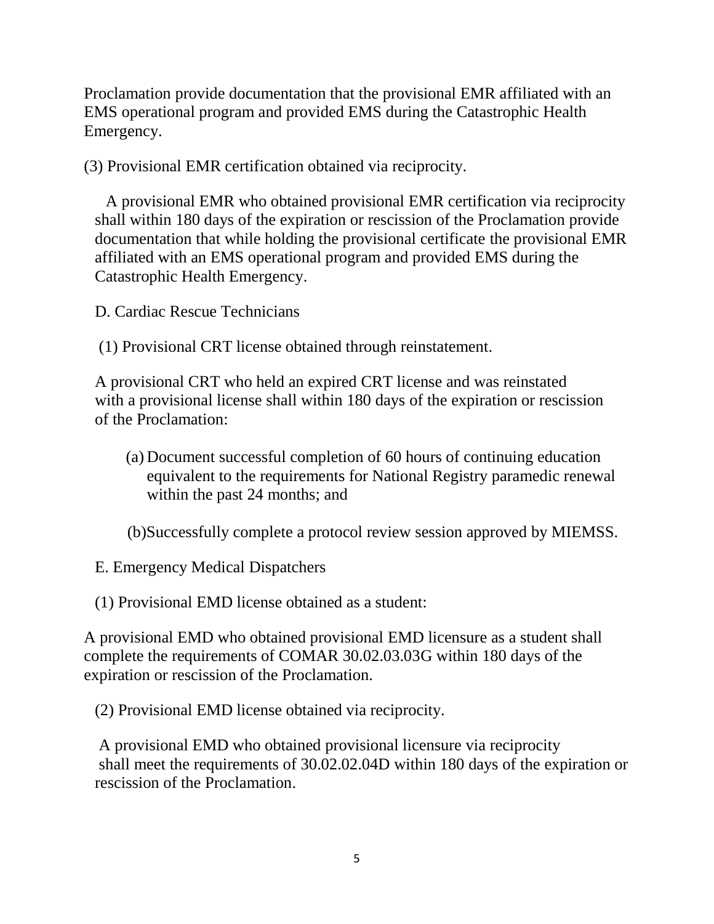Proclamation provide documentation that the provisional EMR affiliated with an EMS operational program and provided EMS during the Catastrophic Health Emergency.

(3) Provisional EMR certification obtained via reciprocity.

A provisional EMR who obtained provisional EMR certification via reciprocity shall within 180 days of the expiration or rescission of the Proclamation provide documentation that while holding the provisional certificate the provisional EMR affiliated with an EMS operational program and provided EMS during the Catastrophic Health Emergency.

D. Cardiac Rescue Technicians

(1) Provisional CRT license obtained through reinstatement.

A provisional CRT who held an expired CRT license and was reinstated with a provisional license shall within 180 days of the expiration or rescission of the Proclamation:

(a) Document successful completion of 60 hours of continuing education equivalent to the requirements for National Registry paramedic renewal within the past 24 months; and

(b)Successfully complete a protocol review session approved by MIEMSS.

E. Emergency Medical Dispatchers

(1) Provisional EMD license obtained as a student:

A provisional EMD who obtained provisional EMD licensure as a student shall complete the requirements of COMAR 30.02.03.03G within 180 days of the expiration or rescission of the Proclamation.

(2) Provisional EMD license obtained via reciprocity.

A provisional EMD who obtained provisional licensure via reciprocity shall meet the requirements of 30.02.02.04D within 180 days of the expiration or rescission of the Proclamation.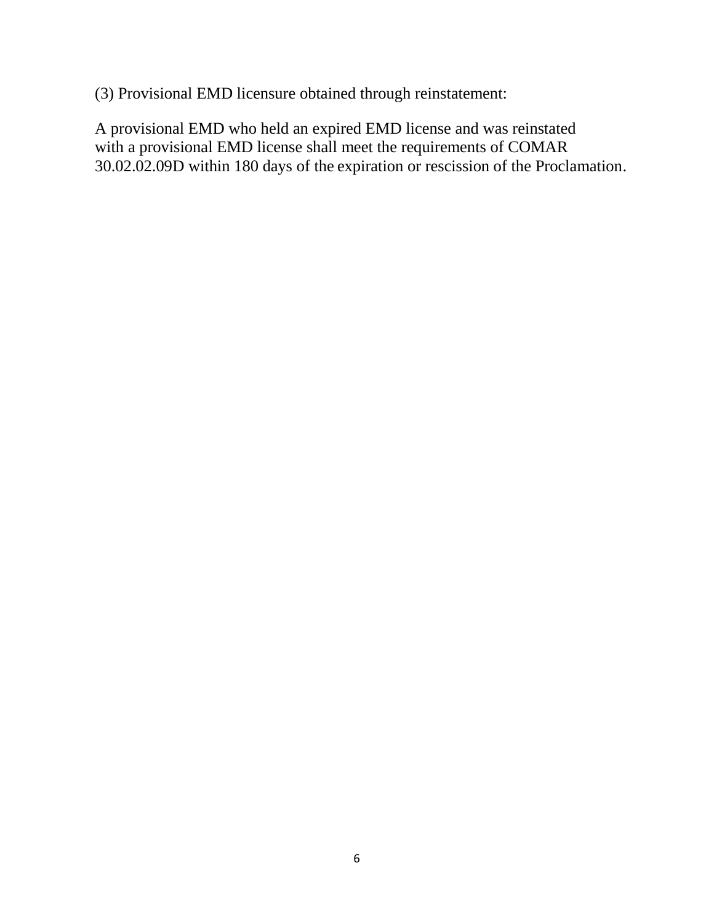(3) Provisional EMD licensure obtained through reinstatement:

A provisional EMD who held an expired EMD license and was reinstated with a provisional EMD license shall meet the requirements of COMAR 30.02.02.09D within 180 days of the expiration or rescission of the Proclamation.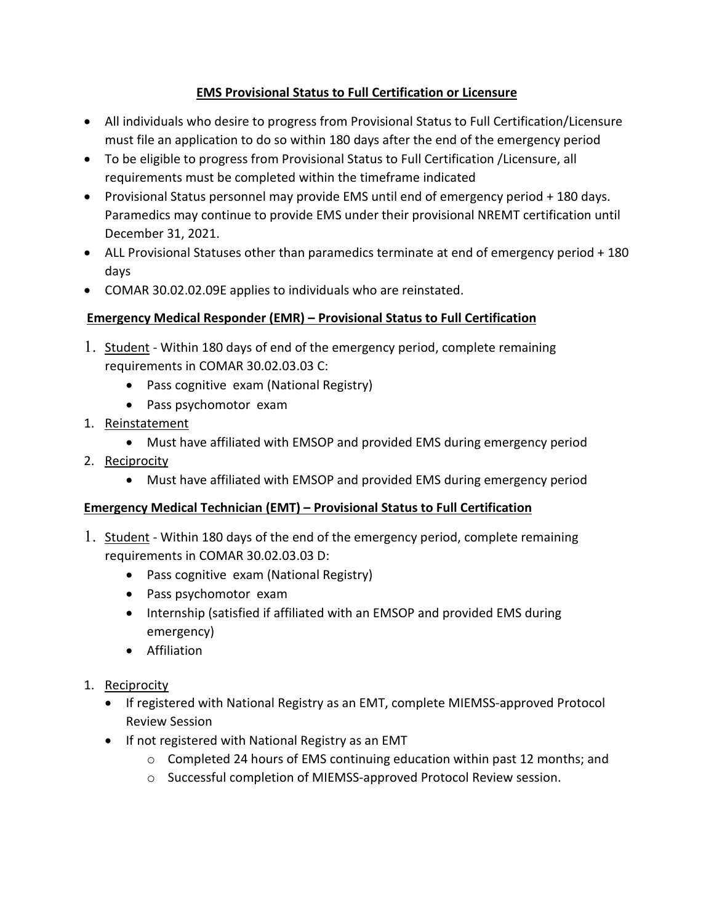## **EMS Provisional Status to Full Certification or Licensure**

- All individuals who desire to progress from Provisional Status to Full Certification/Licensure must file an application to do so within 180 days after the end of the emergency period
- To be eligible to progress from Provisional Status to Full Certification /Licensure, all requirements must be completed within the timeframe indicated
- Provisional Status personnel may provide EMS until end of emergency period + 180 days. Paramedics may continue to provide EMS under their provisional NREMT certification until December 31, 2021.
- ALL Provisional Statuses other than paramedics terminate at end of emergency period + 180 days
- COMAR 30.02.02.09E applies to individuals who are reinstated.

# **Emergency Medical Responder (EMR) – Provisional Status to Full Certification**

- 1. Student Within 180 days of end of the emergency period, complete remaining requirements in COMAR 30.02.03.03 C:
	- Pass cognitive exam (National Registry)
	- Pass psychomotor exam
- 1. Reinstatement
	- Must have affiliated with EMSOP and provided EMS during emergency period
- 2. Reciprocity
	- Must have affiliated with EMSOP and provided EMS during emergency period

## **Emergency Medical Technician (EMT) – Provisional Status to Full Certification**

- 1. Student Within 180 days of the end of the emergency period, complete remaining requirements in COMAR 30.02.03.03 D:
	- Pass cognitive exam (National Registry)
	- Pass psychomotor exam
	- Internship (satisfied if affiliated with an EMSOP and provided EMS during emergency)
	- **•** Affiliation
- 1. Reciprocity
	- If registered with National Registry as an EMT, complete MIEMSS-approved Protocol Review Session
	- If not registered with National Registry as an EMT
		- o Completed 24 hours of EMS continuing education within past 12 months; and
		- o Successful completion of MIEMSS-approved Protocol Review session.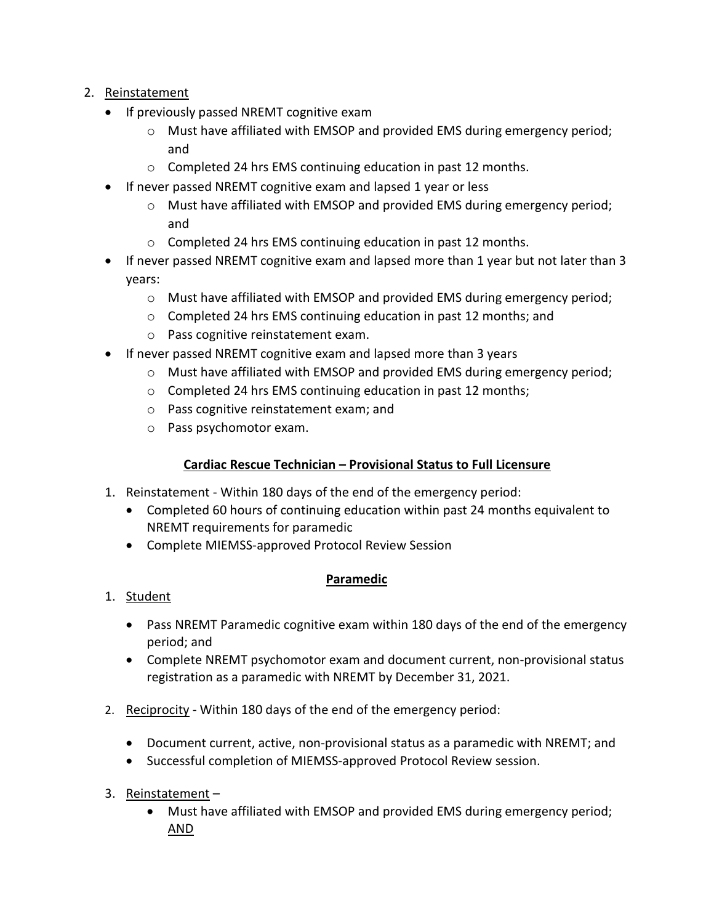- 2. Reinstatement
	- If previously passed NREMT cognitive exam
		- $\circ$  Must have affiliated with EMSOP and provided EMS during emergency period; and
		- o Completed 24 hrs EMS continuing education in past 12 months.
	- If never passed NREMT cognitive exam and lapsed 1 year or less
		- o Must have affiliated with EMSOP and provided EMS during emergency period; and
		- o Completed 24 hrs EMS continuing education in past 12 months.
	- If never passed NREMT cognitive exam and lapsed more than 1 year but not later than 3 years:
		- o Must have affiliated with EMSOP and provided EMS during emergency period;
		- $\circ$  Completed 24 hrs EMS continuing education in past 12 months; and
		- o Pass cognitive reinstatement exam.
	- If never passed NREMT cognitive exam and lapsed more than 3 years
		- $\circ$  Must have affiliated with EMSOP and provided EMS during emergency period;
		- o Completed 24 hrs EMS continuing education in past 12 months;
		- o Pass cognitive reinstatement exam; and
		- o Pass psychomotor exam.

## **Cardiac Rescue Technician – Provisional Status to Full Licensure**

- 1. Reinstatement Within 180 days of the end of the emergency period:
	- Completed 60 hours of continuing education within past 24 months equivalent to NREMT requirements for paramedic
	- Complete MIEMSS-approved Protocol Review Session

## **Paramedic**

- 1. Student
	- Pass NREMT Paramedic cognitive exam within 180 days of the end of the emergency period; and
	- Complete NREMT psychomotor exam and document current, non-provisional status registration as a paramedic with NREMT by December 31, 2021.
- 2. Reciprocity Within 180 days of the end of the emergency period:
	- Document current, active, non-provisional status as a paramedic with NREMT; and
	- Successful completion of MIEMSS-approved Protocol Review session.
- 3. Reinstatement
	- Must have affiliated with EMSOP and provided EMS during emergency period; AND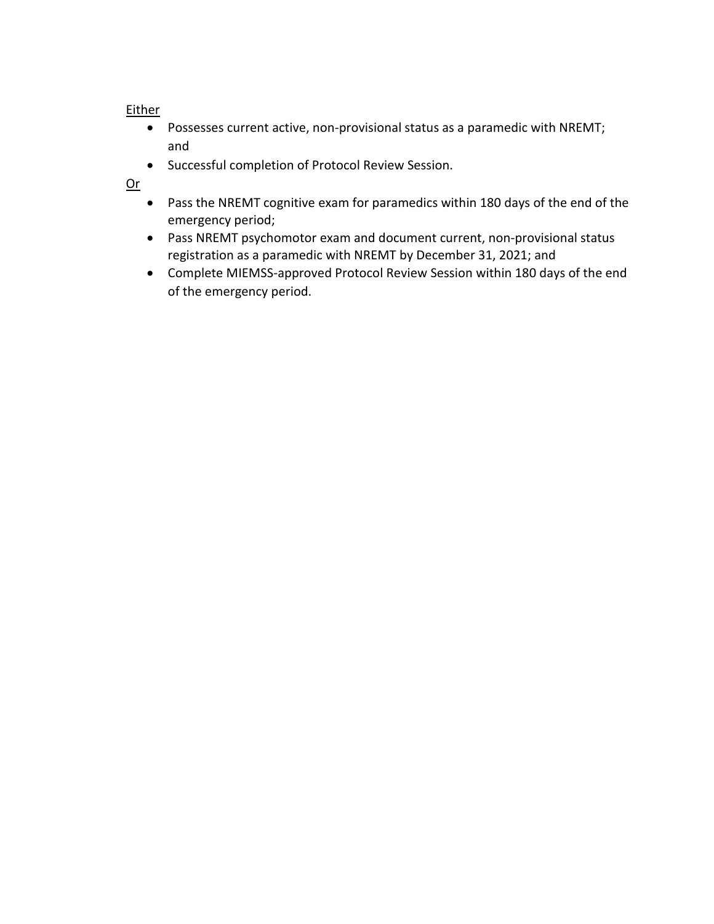## **Either**

- Possesses current active, non-provisional status as a paramedic with NREMT; and
- Successful completion of Protocol Review Session.

Or

- Pass the NREMT cognitive exam for paramedics within 180 days of the end of the emergency period;
- Pass NREMT psychomotor exam and document current, non-provisional status registration as a paramedic with NREMT by December 31, 2021; and
- Complete MIEMSS-approved Protocol Review Session within 180 days of the end of the emergency period.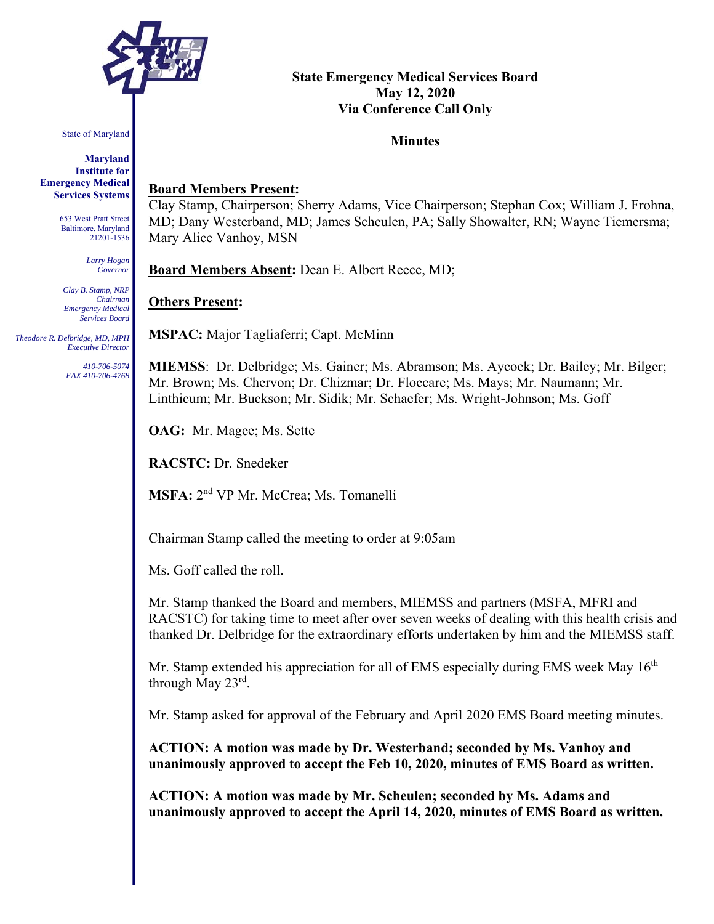

State of Maryland

**Maryland Institute for Emergency Medical Services Systems** 

> 653 West Pratt Street Baltimore, Maryland 21201-1536

> > *Larry Hogan Governor*

*Clay B. Stamp, NRP Chairman Emergency Medical Services Board* 

 *Theodore R. Delbridge, MD, MPH Executive Director* 

> *410-706-5074 FAX 410-706-4768*

## **State Emergency Medical Services Board May 12, 2020 Via Conference Call Only**

#### **Minutes**

#### **Board Members Present:**

Clay Stamp, Chairperson; Sherry Adams, Vice Chairperson; Stephan Cox; William J. Frohna, MD; Dany Westerband, MD; James Scheulen, PA; Sally Showalter, RN; Wayne Tiemersma; Mary Alice Vanhoy, MSN

**Board Members Absent:** Dean E. Albert Reece, MD;

#### **Others Present:**

**MSPAC:** Major Tagliaferri; Capt. McMinn

**MIEMSS**: Dr. Delbridge; Ms. Gainer; Ms. Abramson; Ms. Aycock; Dr. Bailey; Mr. Bilger; Mr. Brown; Ms. Chervon; Dr. Chizmar; Dr. Floccare; Ms. Mays; Mr. Naumann; Mr. Linthicum; Mr. Buckson; Mr. Sidik; Mr. Schaefer; Ms. Wright-Johnson; Ms. Goff

**OAG:** Mr. Magee; Ms. Sette

**RACSTC:** Dr. Snedeker

**MSFA:** 2nd VP Mr. McCrea; Ms. Tomanelli

Chairman Stamp called the meeting to order at 9:05am

Ms. Goff called the roll.

Mr. Stamp thanked the Board and members, MIEMSS and partners (MSFA, MFRI and RACSTC) for taking time to meet after over seven weeks of dealing with this health crisis and thanked Dr. Delbridge for the extraordinary efforts undertaken by him and the MIEMSS staff.

Mr. Stamp extended his appreciation for all of EMS especially during EMS week May  $16<sup>th</sup>$ through May 23rd.

Mr. Stamp asked for approval of the February and April 2020 EMS Board meeting minutes.

**ACTION: A motion was made by Dr. Westerband; seconded by Ms. Vanhoy and unanimously approved to accept the Feb 10, 2020, minutes of EMS Board as written.** 

**ACTION: A motion was made by Mr. Scheulen; seconded by Ms. Adams and unanimously approved to accept the April 14, 2020, minutes of EMS Board as written.**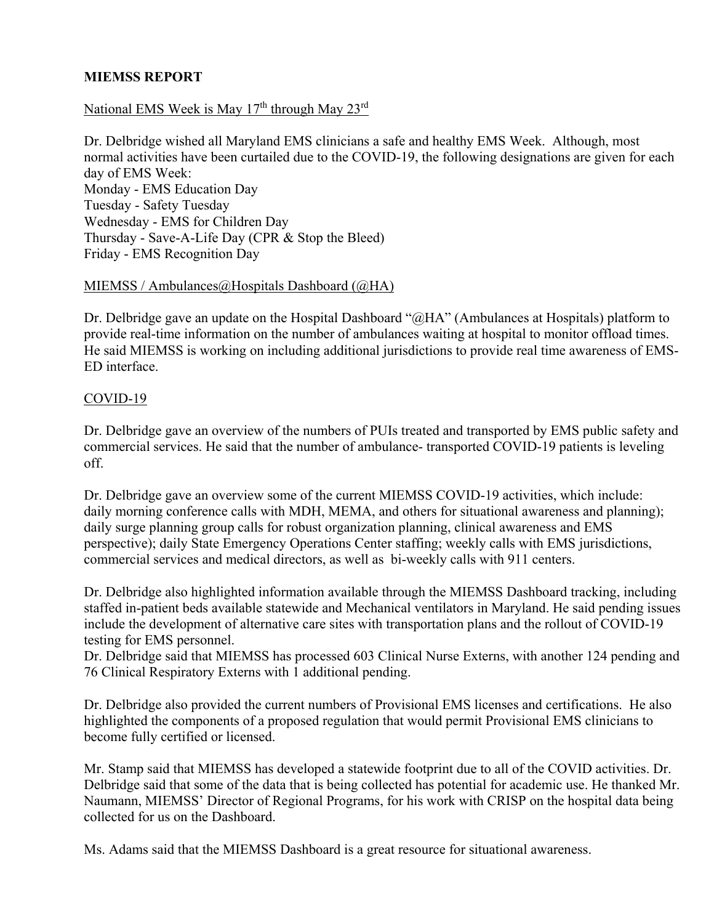## **MIEMSS REPORT**

## National EMS Week is May  $17<sup>th</sup>$  through May  $23<sup>rd</sup>$

Dr. Delbridge wished all Maryland EMS clinicians a safe and healthy EMS Week. Although, most normal activities have been curtailed due to the COVID-19, the following designations are given for each day of EMS Week: Monday - EMS Education Day Tuesday - Safety Tuesday Wednesday - EMS for Children Day Thursday - Save-A-Life Day (CPR & Stop the Bleed) Friday - EMS Recognition Day

#### MIEMSS / Ambulances@Hospitals Dashboard (@HA)

Dr. Delbridge gave an update on the Hospital Dashboard "@HA" (Ambulances at Hospitals) platform to provide real-time information on the number of ambulances waiting at hospital to monitor offload times. He said MIEMSS is working on including additional jurisdictions to provide real time awareness of EMS-ED interface.

#### COVID-19

Dr. Delbridge gave an overview of the numbers of PUIs treated and transported by EMS public safety and commercial services. He said that the number of ambulance- transported COVID-19 patients is leveling off.

Dr. Delbridge gave an overview some of the current MIEMSS COVID-19 activities, which include: daily morning conference calls with MDH, MEMA, and others for situational awareness and planning); daily surge planning group calls for robust organization planning, clinical awareness and EMS perspective); daily State Emergency Operations Center staffing; weekly calls with EMS jurisdictions, commercial services and medical directors, as well as bi-weekly calls with 911 centers.

Dr. Delbridge also highlighted information available through the MIEMSS Dashboard tracking, including staffed in-patient beds available statewide and Mechanical ventilators in Maryland. He said pending issues include the development of alternative care sites with transportation plans and the rollout of COVID-19 testing for EMS personnel.

Dr. Delbridge said that MIEMSS has processed 603 Clinical Nurse Externs, with another 124 pending and 76 Clinical Respiratory Externs with 1 additional pending.

Dr. Delbridge also provided the current numbers of Provisional EMS licenses and certifications. He also highlighted the components of a proposed regulation that would permit Provisional EMS clinicians to become fully certified or licensed.

Mr. Stamp said that MIEMSS has developed a statewide footprint due to all of the COVID activities. Dr. Delbridge said that some of the data that is being collected has potential for academic use. He thanked Mr. Naumann, MIEMSS' Director of Regional Programs, for his work with CRISP on the hospital data being collected for us on the Dashboard.

Ms. Adams said that the MIEMSS Dashboard is a great resource for situational awareness.